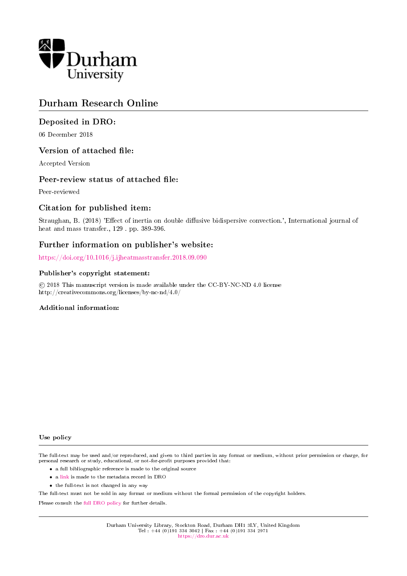

## Durham Research Online

## Deposited in DRO:

06 December 2018

### Version of attached file:

Accepted Version

### Peer-review status of attached file:

Peer-reviewed

## Citation for published item:

Straughan, B. (2018) 'Effect of inertia on double diffusive bidispersive convection.', International journal of heat and mass transfer., 129 . pp. 389-396.

## Further information on publisher's website:

<https://doi.org/10.1016/j.ijheatmasstransfer.2018.09.090>

### Publisher's copyright statement:

 c 2018 This manuscript version is made available under the CC-BY-NC-ND 4.0 license http://creativecommons.org/licenses/by-nc-nd/4.0/

### Additional information:

Use policy

The full-text may be used and/or reproduced, and given to third parties in any format or medium, without prior permission or charge, for personal research or study, educational, or not-for-profit purposes provided that:

- a full bibliographic reference is made to the original source
- a [link](http://dro.dur.ac.uk/26937/) is made to the metadata record in DRO
- the full-text is not changed in any way

The full-text must not be sold in any format or medium without the formal permission of the copyright holders.

Please consult the [full DRO policy](https://dro.dur.ac.uk/policies/usepolicy.pdf) for further details.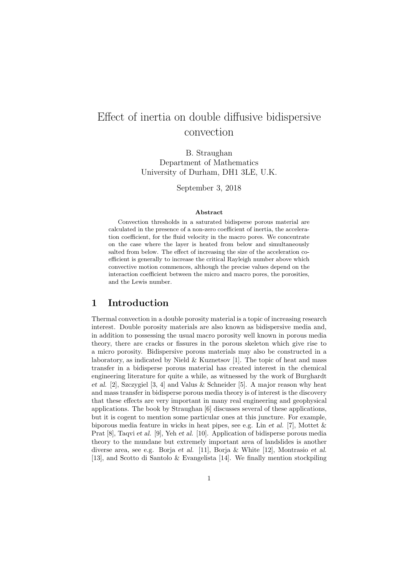# Effect of inertia on double diffusive bidispersive convection

B. Straughan Department of Mathematics University of Durham, DH1 3LE, U.K.

September 3, 2018

#### Abstract

Convection thresholds in a saturated bidisperse porous material are calculated in the presence of a non-zero coefficient of inertia, the acceleration coefficient, for the fluid velocity in the macro pores. We concentrate on the case where the layer is heated from below and simultaneously salted from below. The effect of increasing the size of the acceleration coefficient is generally to increase the critical Rayleigh number above which convective motion commences, although the precise values depend on the interaction coefficient between the micro and macro pores, the porosities, and the Lewis number.

### 1 Introduction

Thermal convection in a double porosity material is a topic of increasing research interest. Double porosity materials are also known as bidispersive media and, in addition to possessing the usual macro porosity well known in porous media theory, there are cracks or fissures in the porous skeleton which give rise to a micro porosity. Bidispersive porous materials may also be constructed in a laboratory, as indicated by Nield  $\&$  Kuznetsov [1]. The topic of heat and mass transfer in a bidisperse porous material has created interest in the chemical engineering literature for quite a while, as witnessed by the work of Burghardt et al. [2], Szczygiel [3, 4] and Valus & Schneider [5]. A major reason why heat and mass transfer in bidisperse porous media theory is of interest is the discovery that these effects are very important in many real engineering and geophysical applications. The book by Straughan [6] discusses several of these applications, but it is cogent to mention some particular ones at this juncture. For example, biporous media feature in wicks in heat pipes, see e.g. Lin et al. [7], Mottet & Prat [8], Taqvi et al. [9], Yeh et al. [10]. Application of bidisperse porous media theory to the mundane but extremely important area of landslides is another diverse area, see e.g. Borja et al. [11], Borja & White [12], Montrasio et al. [13], and Scotto di Santolo & Evangelista [14]. We finally mention stockpiling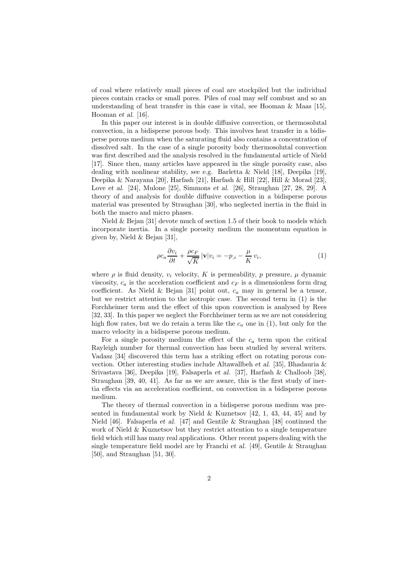of coal where relatively small pieces of coal are stockpiled but the individual pieces contain cracks or small pores. Piles of coal may self combust and so an understanding of heat transfer in this case is vital, see Hooman & Maas [15], Hooman et al. [16].

In this paper our interest is in double diffusive convection, or thermosolutal convection, in a bidisperse porous body. This involves heat transfer in a bidisperse porous medium when the saturating fluid also contains a concentration of dissolved salt. In the case of a single porosity body thermosolutal convection was first described and the analysis resolved in the fundamental article of Nield [17]. Since then, many articles have appeared in the single porosity case, also dealing with nonlinear stability, see e.g. Barletta & Nield [18], Deepika [19], Deepika & Narayana [20], Harfash [21], Harfash & Hill [22], Hill & Morad [23], Love et al. [24], Mulone [25], Simmons et al. [26], Straughan [27, 28, 29]. A theory of and analysis for double diffusive convection in a bidisperse porous material was presented by Straughan [30], who neglected inertia in the fluid in both the macro and micro phases.

Nield & Bejan [31] devote much of section 1.5 of their book to models which incorporate inertia. In a single porosity medium the momentum equation is given by, Nield & Bejan [31],

$$
\rho c_a \frac{\partial v_i}{\partial t} + \frac{\rho c_F}{\sqrt{K}} |\mathbf{v}| v_i = -p_{,i} - \frac{\mu}{K} v_i,
$$
\n(1)

where  $\rho$  is fluid density,  $v_i$  velocity, K is permeability, p pressure,  $\mu$  dynamic viscosity,  $c_a$  is the acceleration coefficient and  $c_F$  is a dimensionless form drag coefficient. As Nield & Bejan [31] point out,  $c_a$  may in general be a tensor, but we restrict attention to the isotropic case. The second term in (1) is the Forchheimer term and the effect of this upon convection is analysed by Rees [32, 33]. In this paper we neglect the Forchheimer term as we are not considering high flow rates, but we do retain a term like the  $c_a$  one in (1), but only for the macro velocity in a bidisperse porous medium.

For a single porosity medium the effect of the  $c_a$  term upon the critical Rayleigh number for thermal convection has been studied by several writers. Vadasz [34] discovered this term has a striking effect on rotating porous convection. Other interesting studies include Altawallbeh et al. [35], Bhadauria & Srivastava [36], Deepika [19], Falsaperla et al. [37], Harfash & Challoob [38], Straughan [39, 40, 41]. As far as we are aware, this is the first study of inertia effects via an acceleration coefficient, on convection in a bidisperse porous medium.

The theory of thermal convection in a bidisperse porous medium was presented in fundamental work by Nield & Kuznetsov [42, 1, 43, 44, 45] and by Nield [46]. Falsaperla et al. [47] and Gentile & Straughan [48] continued the work of Nield & Kuznetsov but they restrict attention to a single temperature field which still has many real applications. Other recent papers dealing with the single temperature field model are by Franchi et al. [49], Gentile & Straughan [50], and Straughan [51, 30].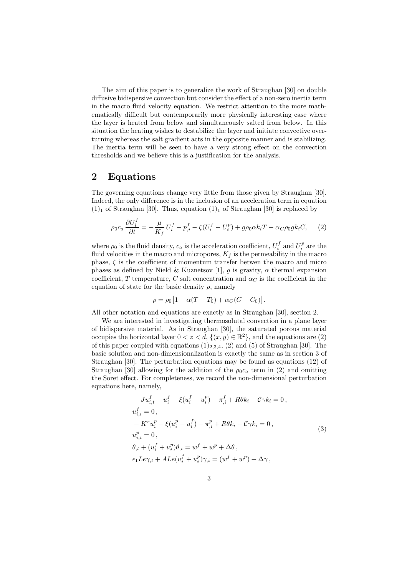The aim of this paper is to generalize the work of Straughan [30] on double diffusive bidispersive convection but consider the effect of a non-zero inertia term in the macro fluid velocity equation. We restrict attention to the more mathematically difficult but contemporarily more physically interesting case where the layer is heated from below and simultaneously salted from below. In this situation the heating wishes to destabilize the layer and initiate convective overturning whereas the salt gradient acts in the opposite manner and is stabilizing. The inertia term will be seen to have a very strong effect on the convection thresholds and we believe this is a justification for the analysis.

### 2 Equations

The governing equations change very little from those given by Straughan [30]. Indeed, the only difference is in the inclusion of an acceleration term in equation  $(1)_1$  of Straughan [30]. Thus, equation  $(1)_1$  of Straughan [30] is replaced by

$$
\rho_0 c_a \frac{\partial U_i^f}{\partial t} = -\frac{\mu}{K_f} U_i^f - p_{,i}^f - \zeta (U_i^f - U_i^p) + g \rho_0 \alpha k_i T - \alpha_C \rho_0 g k_i C, \tag{2}
$$

where  $\rho_0$  is the fluid density,  $c_a$  is the acceleration coefficient,  $U_i^f$  and  $U_i^p$  are the fluid velocities in the macro and micropores,  $K_f$  is the permeability in the macro phase,  $\zeta$  is the coefficient of momentum transfer betwen the macro and micro phases as defined by Nield & Kuznetsov [1], q is gravity,  $\alpha$  thermal expansion coefficient, T temperature, C salt concentration and  $\alpha_C$  is the coefficient in the equation of state for the basic density  $\rho$ , namely

$$
\rho = \rho_0 [1 - \alpha (T - T_0) + \alpha_C (C - C_0)].
$$

All other notation and equations are exactly as in Straughan [30], section 2.

We are interested in investigating thermosolutal convection in a plane layer of bidispersive material. As in Straughan [30], the saturated porous material occupies the horizontal layer  $0 < z < d$ ,  $\{(x, y) \in \mathbb{R}^2\}$ , and the equations are (2) of this paper coupled with equations  $(1)_{2,3,4}$ ,  $(2)$  and  $(5)$  of Straughan [30]. The basic solution and non-dimensionalization is exactly the same as in section 3 of Straughan [30]. The perturbation equations may be found as equations (12) of Straughan [30] allowing for the addition of the  $\rho_0 c_a$  term in (2) and omitting the Soret effect. For completeness, we record the non-dimensional perturbation equations here, namely,

$$
-Ju_{i,t}^f - u_i^f - \xi(u_i^f - u_i^p) - \pi_{,i}^f + R\theta k_i - C\gamma k_i = 0,
$$
  
\n
$$
u_{i,i}^f = 0,
$$
  
\n
$$
-K^r u_i^p - \xi(u_i^p - u_i^f) - \pi_{,i}^p + R\theta k_i - C\gamma k_i = 0,
$$
  
\n
$$
u_{i,i}^p = 0,
$$
  
\n
$$
\theta_{,t} + (u_i^f + u_i^p)\theta_{,i} = w^f + w^p + \Delta\theta,
$$
  
\n
$$
\epsilon_1 L e \gamma_{,t} + A L e(u_i^f + u_i^p) \gamma_{,i} = (w^f + w^p) + \Delta\gamma,
$$
\n(3)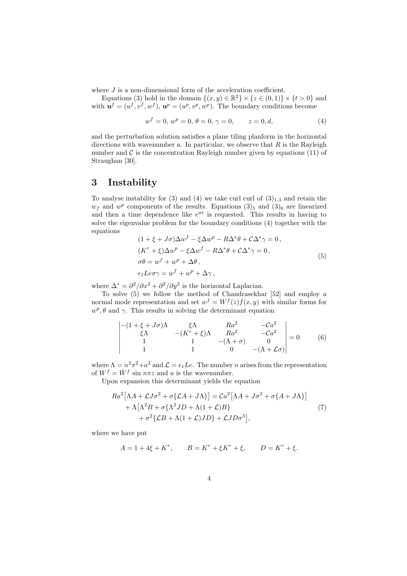where  $J$  is a non-dimensional form of the acceleration coefficient.

Equations (3) hold in the domain  $\{(x, y) \in \mathbb{R}^2\} \times \{z \in (0, 1)\} \times \{t > 0\}$  and with  $\mathbf{u}^f = (u^f, v^f, w^f), \mathbf{u}^p = (u^p, v^p, w^p).$  The boundary conditions become

$$
w^f = 0, w^p = 0, \theta = 0, \gamma = 0, \qquad z = 0, d,
$$
\n(4)

and the perturbation solution satisfies a plane tiling planform in the horizontal directions with wavenumber  $a$ . In particular, we observe that  $R$  is the Rayleigh number and  $\mathcal C$  is the concentration Rayleigh number given by equations (11) of Straughan [30].

### 3 Instability

To analyse instability for (3) and (4) we take curl curl of  $(3)_{1,3}$  and retain the  $w_f$  and  $w^p$  components of the results. Equations  $(3)_5$  and  $(3)_6$  are linearized and then a time dependence like  $e^{\sigma t}$  is requested. This results in having to solve the eigenvalue problem for the boundary conditions (4) together with the equations

$$
(1 + \xi + J\sigma)\Delta w^f - \xi \Delta w^p - R\Delta^* \theta + C\Delta^* \gamma = 0,
$$
  
\n
$$
(K^r + \xi)\Delta w^p - \xi \Delta w^f - R\Delta^* \theta + C\Delta^* \gamma = 0,
$$
  
\n
$$
\sigma \theta = w^f + w^p + \Delta \theta,
$$
  
\n
$$
\epsilon_1 L e \sigma \gamma = w^f + w^p + \Delta \gamma,
$$
\n(5)

where  $\Delta^* = \frac{\partial^2}{\partial x^2} + \frac{\partial^2}{\partial y^2}$  is the horizontal Laplacian.

To solve (5) we follow the method of Chandrasekhar [52] and employ a normal mode representation and set  $w^f = W^f(z)f(x, y)$  with similar forms for  $w^p$ ,  $\theta$  and  $\gamma$ . This results in solving the determinant equation

$$
\begin{vmatrix} -(1+\xi+J\sigma)\Lambda & \xi\Lambda & Ra^2 & -Ca^2\\ \xi\Lambda & -(K^r+\xi)\Lambda & Ra^2 & -Ca^2\\ 1 & 1 & -(A+\sigma) & 0\\ 1 & 1 & 0 & -(A+\mathcal{L}\sigma) \end{vmatrix} = 0
$$
 (6)

where  $\Lambda = n^2 \pi^2 + a^2$  and  $\mathcal{L} = \epsilon_1 L e$ . The number *n* arises from the representation of  $W^f = \hat{W}^f$  sin  $n\pi z$  and a is the wavenumber.

Upon expansion this determinant yields the equation

$$
Ra^{2}[\Lambda A + \mathcal{L}J\sigma^{2} + \sigma\{\mathcal{L}A + J\Lambda\}] = Ca^{2}[\Lambda A + J\sigma^{2} + \sigma\{A + J\Lambda\}]
$$
  
+  $\Lambda[\Lambda^{2}B + \sigma\{\Lambda^{2}JD + \Lambda(1 + \mathcal{L})B\}$  (7)  
+  $\sigma^{2}\{\mathcal{L}B + \Lambda(1 + \mathcal{L})JD\} + \mathcal{L}JD\sigma^{3}],$ 

where we have put

$$
A = 1 + 4\xi + K^r, \qquad B = K^r + \xi K^r + \xi, \qquad D = K^r + \xi.
$$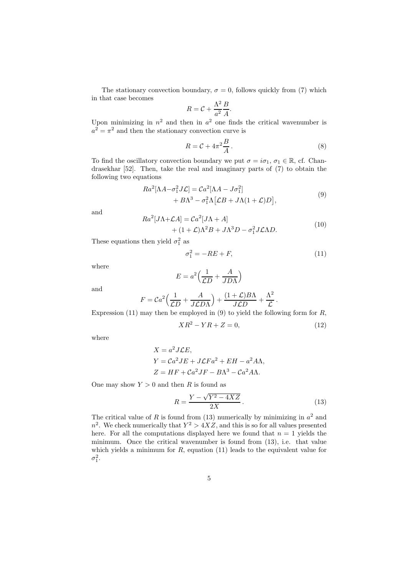The stationary convection boundary,  $\sigma = 0$ , follows quickly from (7) which in that case becomes 2

$$
R = \mathcal{C} + \frac{\Lambda^2}{a^2} \frac{B}{A}.
$$

Upon minimizing in  $n^2$  and then in  $a^2$  one finds the critical wavenumber is  $a^2 = \pi^2$  and then the stationary convection curve is

$$
R = \mathcal{C} + 4\pi^2 \frac{B}{A} \,. \tag{8}
$$

To find the oscillatory convection boundary we put  $\sigma = i\sigma_1$ ,  $\sigma_1 \in \mathbb{R}$ , cf. Chandrasekhar [52]. Then, take the real and imaginary parts of (7) to obtain the following two equations

$$
Ra^{2}[\Lambda A - \sigma_{1}^{2}J\mathcal{L}] = Ca^{2}[\Lambda A - J\sigma_{1}^{2}]
$$
  
+ 
$$
B\Lambda^{3} - \sigma_{1}^{2}\Lambda[\mathcal{L}B + J\Lambda(1+\mathcal{L})D],
$$
 (9)

and

$$
Ra^{2}[J\Lambda + \mathcal{L}A] = Ca^{2}[J\Lambda + A] + (1 + \mathcal{L})\Lambda^{2}B + J\Lambda^{3}D - \sigma_{1}^{2}J\mathcal{L}\Lambda D.
$$
 (10)

These equations then yield  $\sigma_1^2$  as

$$
\sigma_1^2 = -RE + F,\tag{11}
$$

where

$$
E = a^2 \left(\frac{1}{\mathcal{L}D} + \frac{A}{JD\Lambda}\right)
$$

and

$$
F = Ca^2 \left(\frac{1}{\mathcal{L}D} + \frac{A}{J\mathcal{L}D\Lambda}\right) + \frac{(1+\mathcal{L})B\Lambda}{J\mathcal{L}D} + \frac{\Lambda^2}{\mathcal{L}}.
$$

Expression (11) may then be employed in (9) to yield the following form for  $R$ ,

$$
XR^2 - YR + Z = 0,\t\t(12)
$$

where

$$
X = a2 J \mathcal{L} E,
$$
  
\n
$$
Y = C a2 J E + J \mathcal{L} F a2 + E H - a2 A \Lambda,
$$
  
\n
$$
Z = H F + C a2 J F - B \Lambda3 - C a2 A \Lambda.
$$

One may show  $Y > 0$  and then R is found as

$$
R = \frac{Y - \sqrt{Y^2 - 4XZ}}{2X}.
$$
\n<sup>(13)</sup>

The critical value of R is found from (13) numerically by minimizing in  $a^2$  and  $n^2$ . We check numerically that  $Y^2 > 4XZ$ , and this is so for all values presented here. For all the computations displayed here we found that  $n = 1$  yields the minimum. Once the critical wavenumber is found from (13), i.e. that value which yields a minimum for  $R$ , equation (11) leads to the equivalent value for  $\sigma_1^2$ .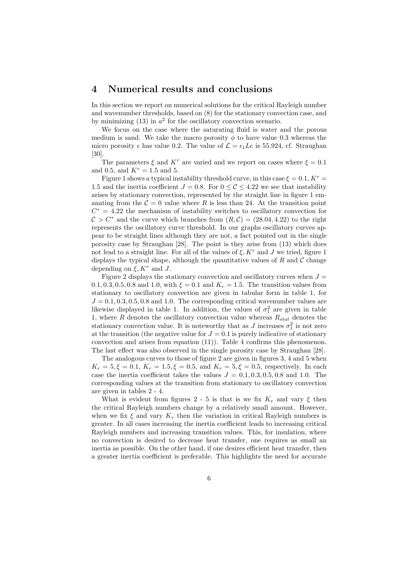## 4 Numerical results and conclusions

In this section we report on numerical solutions for the critical Rayleigh number and wavenumber thresholds, based on (8) for the stationary convection case, and by minimizing  $(13)$  in  $a<sup>2</sup>$  for the oscillatory convection scenario.

We focus on the case where the saturating fluid is water and the porous medium is sand. We take the macro porosity  $\phi$  to have value 0.3 whereas the micro porosity  $\epsilon$  has value 0.2. The value of  $\mathcal{L} = \epsilon_1 L e$  is 55.924, cf. Straughan [30].

The parameters  $\xi$  and  $K^r$  are varied and we report on cases where  $\xi = 0.1$ and 0.5, and  $K^{r} = 1.5$  and 5.

Figure 1 shows a typical instability threshold curve, in this case  $\xi = 0.1, K^r =$ 1.5 and the inertia coefficient  $J = 0.8$ . For  $0 \leq C \leq 4.22$  we see that instability arises by stationary convection, represented by the straight line in figure 1 emanating from the  $\mathcal{C} = 0$  value where R is less than 24. At the transition point  $C^* = 4.22$  the mechanism of instability switches to oscillatory convection for  $C > C^*$  and the curve which branches from  $(R, C) = (28.04, 4.22)$  to the right represents the oscillatory curve threshold. In our graphs oscillatory curves appear to be straight lines although they are not, a fact pointed out in the single porosity case by Straughan [28]. The point is they arise from (13) which does not lead to a straight line. For all of the values of  $\xi, K^r$  and J we tried, figure 1 displays the typical shape, although the quantitative values of  $R$  and  $C$  change depending on  $\xi, K^r$  and J.

Figure 2 displays the stationary convection and oscillatory curves when  $J =$ 0.1, 0.3, 0.5, 0.8 and 1.0, with  $\xi = 0.1$  and  $K_r = 1.5$ . The transition values from stationary to oscillatory convection are given in tabular form in table 1, for  $J = 0.1, 0.3, 0.5, 0.8$  and 1.0. The corresponding critical wavenumber values are likewise displayed in table 1. In addition, the values of  $\sigma_1^2$  are given in table 1, where  $R$  denotes the oscillatory convection value whereas  $R_{stat}$  denotes the stationary convection value. It is noteworthy that as J increases  $\sigma_1^2$  is not zero at the transition (the negative value for  $J = 0.1$  is purely indicative of stationary convection and arises from equation (11)). Table 4 confirms this phenomenon. The last effect was also observed in the single porosity case by Straughan [28].

The analogous curves to those of figure 2 are given in figures 3, 4 and 5 when  $K_r = 5, \xi = 0.1, K_r = 1.5, \xi = 0.5, \text{ and } K_r = 5, \xi = 0.5, \text{ respectively.}$  In each case the inertia coefficient takes the values  $J = 0.1, 0.3, 0.5, 0.8$  and 1.0. The corresponding values at the transition from stationary to oscillatory convection are given in tables 2 - 4.

What is evident from figures 2 - 5 is that is we fix  $K_r$  and vary  $\xi$  then the critical Rayleigh numbers change by a relatively small amount. However, when we fix  $\xi$  and vary  $K_r$  then the variation in critical Rayleigh numbers is greater. In all cases increasing the inertia coefficient leads to increasing critical Rayleigh numbers and increasing transition values. This, for insulation, where no convection is desired to decrease heat transfer, one requires as small an inertia as possible. On the other hand, if one desires efficient heat transfer, then a greater inertia coefficient is preferable. This highlights the need for accurate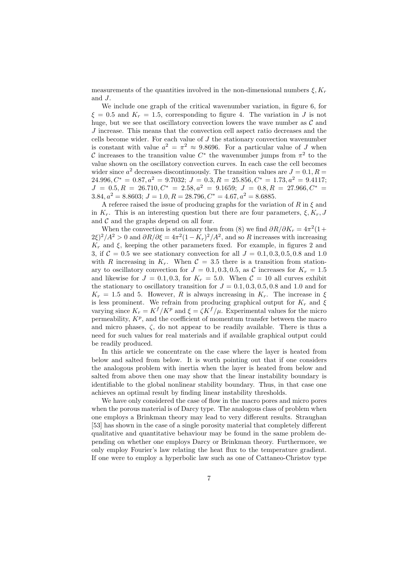measurements of the quantities involved in the non-dimensional numbers  $\xi, K_r$ and J.

We include one graph of the critical wavenumber variation, in figure 6, for  $\xi = 0.5$  and  $K_r = 1.5$ , corresponding to figure 4. The variation in J is not huge, but we see that oscillatory convection lowers the wave number as  $\mathcal C$  and  $J$  increase. This means that the convection cell aspect ratio decreases and the cells become wider. For each value of  $J$  the stationary convection wavenumber is constant with value  $a^2 = \pi^2 \approx 9.8696$ . For a particular value of J when C increases to the transition value  $C^*$  the wavenumber jumps from  $\pi^2$  to the value shown on the oscillatory convection curves. In each case the cell becomes wider since  $a^2$  decreases discontinuously. The transition values are  $J = 0.1, R =$ 24.996,  $C^* = 0.87$ ,  $a^2 = 9.7032$ ;  $J = 0.3$ ,  $R = 25.856$ ,  $C^* = 1.73$ ,  $a^2 = 9.4117$ ;  $J = 0.5, R = 26.710, C^* = 2.58, a^2 = 9.1659; J = 0.8, R = 27.966, C^* =$ 3.84,  $a^2 = 8.8603$ ;  $J = 1.0$ ,  $R = 28.796$ ,  $C^* = 4.67$ ,  $a^2 = 8.6885$ .

A referee raised the issue of producing graphs for the variation of  $R$  in  $\xi$  and in  $K_r$ . This is an interesting question but there are four parameters,  $\xi, K_r, J$ and  $\mathcal C$  and the graphs depend on all four.

When the convection is stationary then from (8) we find  $\partial R/\partial K_r = 4\pi^2(1 +$  $2\xi^2/4^2 > 0$  and  $\partial R/\partial \xi = 4\pi^2(1 - K_r)^2/4^2$ , and so R increases with increasing  $K_r$  and  $\xi$ , keeping the other parameters fixed. For example, in figures 2 and 3, if  $C = 0.5$  we see stationary convection for all  $J = 0.1, 0.3, 0.5, 0.8$  and 1.0 with R increasing in  $K_r$ . When  $C = 3.5$  there is a transition from stationary to oscillatory convection for  $J = 0.1, 0.3, 0.5,$  as C increases for  $K_r = 1.5$ and likewise for  $J = 0.1, 0.3$ , for  $K_r = 5.0$ . When  $C = 10$  all curves exhibit the stationary to oscillatory transition for  $J = 0.1, 0.3, 0.5, 0.8$  and 1.0 and for  $K_r = 1.5$  and 5. However, R is always increasing in  $K_r$ . The increase in  $\xi$ is less prominent. We refrain from producing graphical output for  $K_r$  and  $\xi$ varying since  $K_r = K^f/K^p$  and  $\xi = \zeta K^f/\mu$ . Experimental values for the micro permeability,  $K^p$ , and the coefficient of momentum transfer between the macro and micro phases,  $\zeta$ , do not appear to be readily available. There is thus a need for such values for real materials and if available graphical output could be readily produced.

In this article we concentrate on the case where the layer is heated from below and salted from below. It is worth pointing out that if one considers the analogous problem with inertia when the layer is heated from below and salted from above then one may show that the linear instability boundary is identifiable to the global nonlinear stability boundary. Thus, in that case one achieves an optimal result by finding linear instability thresholds.

We have only considered the case of flow in the macro pores and micro pores when the porous material is of Darcy type. The analogous class of problem when one employs a Brinkman theory may lead to very different results. Straughan [53] has shown in the case of a single porosity material that completely different qualitative and quantitative behaviour may be found in the same problem depending on whether one employs Darcy or Brinkman theory. Furthermore, we only employ Fourier's law relating the heat flux to the temperature gradient. If one were to employ a hyperbolic law such as one of Cattaneo-Christov type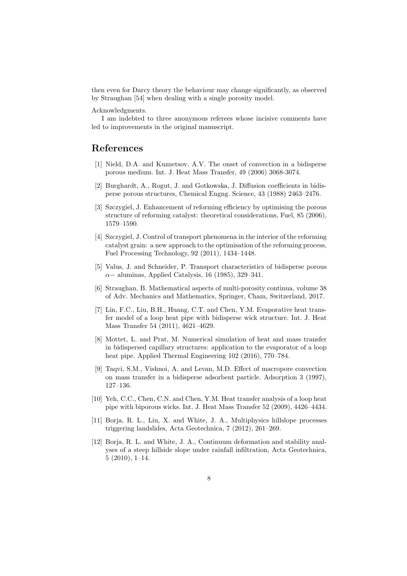then even for Darcy theory the behaviour may change significantly, as observed by Straughan [54] when dealing with a single porosity model.

Acknowledgments.

I am indebted to three anonymous referees whose incisive comments have led to improvements in the original manuscript.

### References

- [1] Nield, D.A. and Kuznetsov, A.V. The onset of convection in a bidisperse porous medium. Int. J. Heat Mass Transfer, 49 (2006) 3068-3074.
- [2] Burghardt, A., Rogut, J. and Gotkowska, J. Diffusion coefficients in bidisperse porous structures, Chemical Engng. Science, 43 (1988) 2463–2476.
- [3] Szczygiel, J. Enhancement of reforming efficiency by optimising the porous structure of reforming catalyst: theoretical considerations, Fuel, 85 (2006), 1579–1590.
- [4] Szczygiel, J. Control of transport phenomena in the interior of the reforming catalyst grain: a new approach to the optimisation of the reforming process, Fuel Processing Technology, 92 (2011), 1434–1448.
- [5] Valus, J. and Schneider, P. Transport characteristics of bidisperse porous  $\alpha-$  aluminas, Applied Catalysis, 16 (1985), 329–341.
- [6] Straughan, B. Mathematical aspects of multi-porosity continua, volume 38 of Adv. Mechanics and Mathematics, Springer, Cham, Switzerland, 2017.
- [7] Lin, F.C., Liu, B.H., Huang, C.T. and Chen, Y.M. Evaporative heat transfer model of a loop heat pipe with bidisperse wick structure. Int. J. Heat Mass Transfer 54 (2011), 4621–4629.
- [8] Mottet, L. and Prat, M. Numerical simulation of heat and mass transfer in bidispersed capillary structures: application to the evaporator of a loop heat pipe. Applied Thermal Engineering 102 (2016), 770–784.
- [9] Taqvi, S.M., Vishnoi, A. and Levan, M.D. Effect of macropore convection on mass transfer in a bidisperse adsorbent particle. Adsorption 3 (1997), 127–136.
- [10] Yeh, C.C., Chen, C.N. and Chen, Y.M. Heat transfer analysis of a loop heat pipe with biporous wicks. Int. J. Heat Mass Transfer 52 (2009), 4426–4434.
- [11] Borja, R. L., Liu, X. and White, J. A., Multiphysics hillslope processes triggering landslides, Acta Geotechnica, 7 (2012), 261–269.
- [12] Borja, R. L. and White, J. A., Continuum deformation and stability analyses of a steep hillside slope under rainfall infiltration, Acta Geotechnica, 5 (2010), 1–14.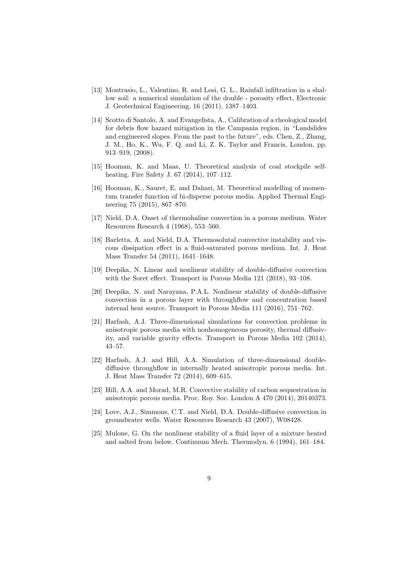- [13] Montrasio, L., Valentino, R. and Losi, G. L., Rainfall infiltration in a shallow soil: a numerical simulation of the double - porosity effect, Electronic J. Geotechnical Engineering, 16 (2011), 1387–1403.
- [14] Scotto di Santolo, A. and Evangelista, A., Calibration of a rheological model for debris flow hazard mitigation in the Campania region, in "Landslides and engineered slopes. From the past to the future", eds. Chen, Z., Zhang, J. M., Ho, K., Wu, F. Q. and Li, Z. K. Taylor and Francis, London, pp. 913–919, (2008).
- [15] Hooman, K. and Maas, U. Theoretical analysis of coal stockpile selfheating. Fire Safety J. 67 (2014), 107–112.
- [16] Hooman, K., Sauret, E. and Dahari, M. Theoretical modelling of momentum transfer function of bi-disperse porous media. Applied Thermal Engineering 75 (2015), 867–870.
- [17] Nield, D.A. Onset of thermohaline convection in a porous medium. Water Resources Research 4 (1968), 553–560.
- [18] Barletta, A. and Nield, D.A. Thermosolutal convective instability and viscous dissipation effect in a fluid-saturated porous medium. Int. J. Heat Mass Transfer 54 (2011), 1641–1648.
- [19] Deepika, N. Linear and nonlinear stability of double-diffusive convection with the Soret effect. Transport in Porous Media 121 (2018), 93–108.
- [20] Deepika, N. and Narayana, P.A.L. Nonlinear stability of double-diffusive convection in a porous layer with throughflow and concentration based internal heat source. Transport in Porous Media 111 (2016), 751–762.
- [21] Harfash, A.J. Three-dimensional simulations for convection problems in anisotropic porous media with nonhomogeneous porosity, thermal diffusivity, and variable gravity effects. Transport in Porous Media 102 (2014), 43–57.
- [22] Harfash, A.J. and Hill, A.A. Simulation of three-dimensional doublediffusive throughflow in internally heated anisotropic porous media. Int. J. Heat Mass Transfer 72 (2014), 609–615.
- [23] Hill, A.A. and Morad, M.R. Convective stability of carbon sequestration in anisotropic porous media. Proc. Roy. Soc. London A 470 (2014), 20140373.
- [24] Love, A.J., Simmons, C.T. and Nield, D.A. Double-diffusive convection in groundwater wells. Water Resources Research 43 (2007), W08428.
- [25] Mulone, G. On the nonlinear stability of a fluid layer of a mixture heated and salted from below. Continuum Mech. Thermodyn. 6 (1994), 161–184.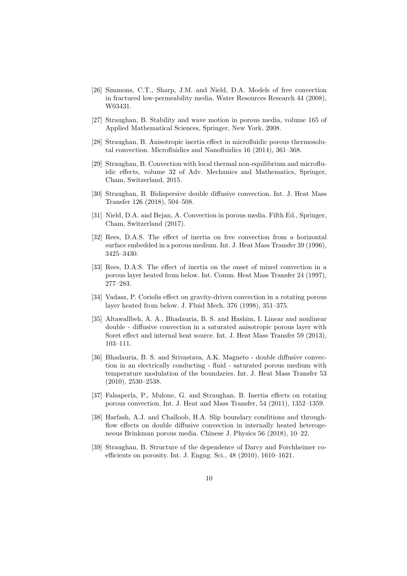- [26] Simmons, C.T., Sharp, J.M. and Nield, D.A. Models of free convection in fractured low-permeability media. Water Resources Research 44 (2008), W03431.
- [27] Straughan, B. Stability and wave motion in porous media, volume 165 of Applied Mathematical Sciences, Springer, New York, 2008.
- [28] Straughan, B. Anisotropic inertia effect in microfluidic porous thermosolutal convection. Microfluidics and Nanofluidics 16 (2014), 361–368.
- [29] Straughan, B. Convection with local thermal non-equilibrium and microfluidic effects, volume 32 of Adv. Mechanics and Mathematics, Springer, Cham, Switzerland, 2015.
- [30] Straughan, B. Bidispersive double diffusive convection. Int. J. Heat Mass Transfer 126 (2018), 504–508.
- [31] Nield, D.A. and Bejan, A. Convection in porous media. Fifth Ed., Springer, Cham, Switzerland (2017).
- [32] Rees, D.A.S. The effect of inertia on free convection from a horizontal surface embedded in a porous medium. Int. J. Heat Mass Transfer 39 (1996), 3425–3430.
- [33] Rees, D.A.S. The effect of inertia on the onset of mixed convection in a porous layer heated from below. Int. Comm. Heat Mass Transfer 24 (1997), 277–283.
- [34] Vadasz, P. Coriolis effect on gravity-driven convection in a rotating porous layer heated from below. J. Fluid Mech. 376 (1998), 351–375.
- [35] Altawallbeh, A. A., Bhadauria, B. S. and Hashim, I. Linear and nonlinear double - diffusive convection in a saturated anisotropic porous layer with Soret effect and internal heat source. Int. J. Heat Mass Transfer 59 (2013), 103–111.
- [36] Bhadauria, B. S. and Srivastava, A.K. Magneto double diffusive convection in an electrically conducting - fluid - saturated porous medium with temperature modulation of the boundaries. Int. J. Heat Mass Transfer 53 (2010), 2530–2538.
- [37] Falsaperla, P., Mulone, G. and Straughan, B. Inertia effects on rotating porous convection. Int. J. Heat and Mass Transfer, 54 (2011), 1352–1359.
- [38] Harfash, A.J. and Challoob, H.A. Slip boundary conditions and throughflow effects on double diffusive convection in internally heated heterogeneous Brinkman porous media. Chinese J. Physics 56 (2018), 10–22.
- [39] Straughan, B. Structure of the dependence of Darcy and Forchheimer coefficients on porosity. Int. J. Engng. Sci., 48 (2010), 1610–1621.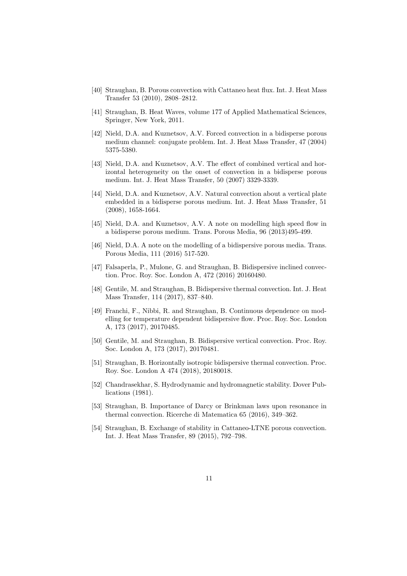- [40] Straughan, B. Porous convection with Cattaneo heat flux. Int. J. Heat Mass Transfer 53 (2010), 2808–2812.
- [41] Straughan, B. Heat Waves, volume 177 of Applied Mathematical Sciences, Springer, New York, 2011.
- [42] Nield, D.A. and Kuznetsov, A.V. Forced convection in a bidisperse porous medium channel: conjugate problem. Int. J. Heat Mass Transfer, 47 (2004) 5375-5380.
- [43] Nield, D.A. and Kuznetsov, A.V. The effect of combined vertical and horizontal heterogeneity on the onset of convection in a bidisperse porous medium. Int. J. Heat Mass Transfer, 50 (2007) 3329-3339.
- [44] Nield, D.A. and Kuznetsov, A.V. Natural convection about a vertical plate embedded in a bidisperse porous medium. Int. J. Heat Mass Transfer, 51 (2008), 1658-1664.
- [45] Nield, D.A. and Kuznetsov, A.V. A note on modelling high speed flow in a bidisperse porous medium. Trans. Porous Media, 96 (2013)495-499.
- [46] Nield, D.A. A note on the modelling of a bidispersive porous media. Trans. Porous Media, 111 (2016) 517-520.
- [47] Falsaperla, P., Mulone, G. and Straughan, B. Bidispersive inclined convection. Proc. Roy. Soc. London A, 472 (2016) 20160480.
- [48] Gentile, M. and Straughan, B. Bidispersive thermal convection. Int. J. Heat Mass Transfer, 114 (2017), 837–840.
- [49] Franchi, F., Nibbi, R. and Straughan, B. Continuous dependence on modelling for temperature dependent bidispersive flow. Proc. Roy. Soc. London A, 173 (2017), 20170485.
- [50] Gentile, M. and Straughan, B. Bidispersive vertical convection. Proc. Roy. Soc. London A, 173 (2017), 20170481.
- [51] Straughan, B. Horizontally isotropic bidispersive thermal convection. Proc. Roy. Soc. London A 474 (2018), 20180018.
- [52] Chandrasekhar, S. Hydrodynamic and hydromagnetic stability. Dover Publications (1981).
- [53] Straughan, B. Importance of Darcy or Brinkman laws upon resonance in thermal convection. Ricerche di Matematica 65 (2016), 349–362.
- [54] Straughan, B. Exchange of stability in Cattaneo-LTNE porous convection. Int. J. Heat Mass Transfer, 89 (2015), 792–798.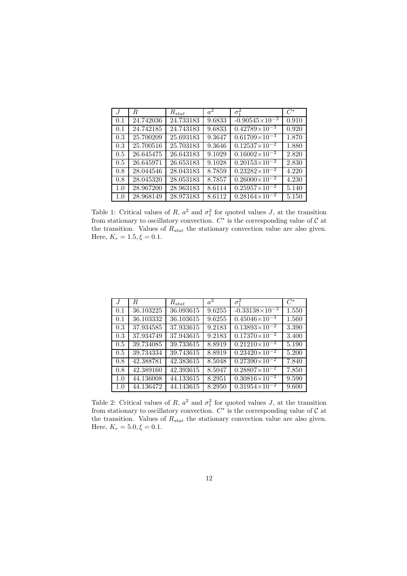| $\cdot$ <i>T</i> | R.        | $R_{stat}$ | $a^2$  | $\sigma_1^2$            | $C^*$ |
|------------------|-----------|------------|--------|-------------------------|-------|
| 0.1              | 24.742036 | 24.733183  | 9.6833 | $-0.90545\times10^{-3}$ | 0.910 |
| 0.1              | 24.742185 | 24.743183  | 9.6833 | $0.42789\times10^{-3}$  | 0.920 |
| 0.3              | 25.700209 | 25.693183  | 9.3647 | $0.61709\times10^{-3}$  | 1.870 |
| 0.3              | 25.700516 | 25.703183  | 9.3646 | $0.12537\times10^{-2}$  | 1.880 |
| 0.5              | 26.645475 | 26.643183  | 9.1029 | $0.16002\times10^{-2}$  | 2.820 |
| 0.5              | 26.645971 | 26.653183  | 9.1028 | $0.20153\times10^{-2}$  | 2.830 |
| 0.8              | 28.044546 | 28.043183  | 8.7859 | $0.23282\times10^{-2}$  | 4.220 |
| 0.8              | 28.045320 | 28.053183  | 8.7857 | $0.26000\times10^{-2}$  | 4.230 |
| 1.0              | 28.967200 | 28.963183  | 8.6114 | $0.25957\times10^{-2}$  | 5.140 |
| 1.0              | 28.968149 | 28.973183  | 8.6112 | $0.28164\times10^{-2}$  | 5.150 |

Table 1: Critical values of R,  $a^2$  and  $\sigma_1^2$  for quoted values J, at the transition from stationary to oscillatory convection.  $C^*$  is the corresponding value of  $C$  at the transition. Values of  $R_{stat}$  the stationary convection value are also given. Here,  $K_r = 1.5, \xi = 0.1$ .

| J   | R.        | $R_{stat}$ | $a^2$  | $\overline{\sigma_1^2}$  | $C^*$ |
|-----|-----------|------------|--------|--------------------------|-------|
| 0.1 | 36.103225 | 36.093615  | 9.6255 | $-0.33138\times10^{-3}$  | 1.550 |
| 0.1 | 36.103332 | 36.103615  | 9.6255 | $0.45046\times10^{-3}$   | 1.560 |
| 0.3 | 37.934585 | 37.933615  | 9.2183 | $0.13893 \times 10^{-2}$ | 3.390 |
| 0.3 | 37.934749 | 37.943615  | 9.2183 | $0.17370\times10^{-2}$   | 3.400 |
| 0.5 | 39.734085 | 39.733615  | 8.8919 | $0.21210\times10^{-2}$   | 5.190 |
| 0.5 | 39.734334 | 39.743615  | 8.8919 | $0.23420\times10^{-2}$   | 5.200 |
| 0.8 | 42.388781 | 42.383615  | 8.5048 | $0.27390\times10^{-2}$   | 7.840 |
| 0.8 | 42.389160 | 42.393615  | 8.5047 | $0.28807\times10^{-2}$   | 7.850 |
| 1.0 | 44.136008 | 44.133615  | 8.2951 | $0.30816\times10^{-2}$   | 9.590 |
| 1.0 | 44.136472 | 44.143615  | 8.2950 | $0.31954\times10^{-2}$   | 9.600 |

Table 2: Critical values of R,  $a^2$  and  $\sigma_1^2$  for quoted values J, at the transition from stationary to oscillatory convection.  $C^*$  is the corresponding value of  $C$  at the transition. Values of  $R_{stat}$  the stationary convection value are also given. Here,  $K_r = 5.0, \xi = 0.1$ .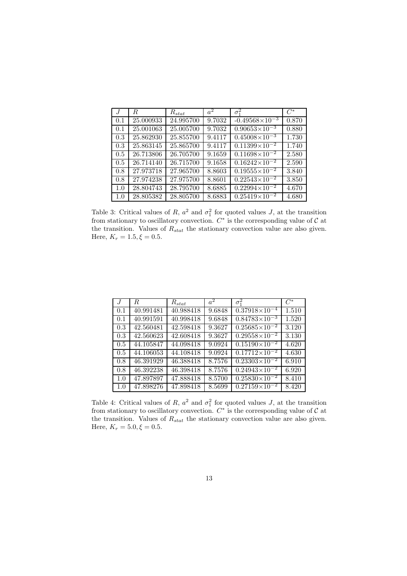| $\cdot$ <sub><math>I</math></sub> | R.        | $R_{stat}$ | $a^2$  | $\sigma_1^2$             | $C^*$ |
|-----------------------------------|-----------|------------|--------|--------------------------|-------|
| 0.1                               | 25.000933 | 24.995700  | 9.7032 | $-0.49568\times10^{-3}$  | 0.870 |
| 0.1                               | 25.001063 | 25.005700  | 9.7032 | $0.90653\times10^{-3}$   | 0.880 |
| 0.3                               | 25.862930 | 25.855700  | 9.4117 | $0.45008\times10^{-3}$   | 1.730 |
| 0.3                               | 25.863145 | 25.865700  | 9.4117 | $0.11399\times10^{-2}$   | 1.740 |
| 0.5                               | 26.713806 | 26.705700  | 9.1659 | $0.11698\times10^{-2}$   | 2.580 |
| 0.5                               | 26.714140 | 26.715700  | 9.1658 | $0.16242\times10^{-2}$   | 2.590 |
| 0.8                               | 27.973718 | 27.965700  | 8.8603 | $0.19555 \times 10^{-2}$ | 3.840 |
| 0.8                               | 27.974238 | 27.975700  | 8.8601 | $0.22543\times10^{-2}$   | 3.850 |
| 1.0                               | 28.804743 | 28.795700  | 8.6885 | $0.22994\times10^{-2}$   | 4.670 |
| 1.0                               | 28.805382 | 28.805700  | 8.6883 | $0.25419\times10^{-2}$   | 4.680 |

Table 3: Critical values of R,  $a^2$  and  $\sigma_1^2$  for quoted values J, at the transition from stationary to oscillatory convection.  $C^*$  is the corresponding value of  $C$  at the transition. Values of  $R_{stat}$  the stationary convection value are also given. Here,  $K_r = 1.5, \xi = 0.5$ .

| J   | R.        | $R_{stat}$ | $a^2$  | $\overline{\sigma_1^2}$  | $C^*$ |
|-----|-----------|------------|--------|--------------------------|-------|
| 0.1 | 40.991481 | 40.988418  | 9.6848 | $0.37918\times10^{-4}$   | 1.510 |
| 0.1 | 40.991591 | 40.998418  | 9.6848 | $0.84783\times10^{-3}$   | 1.520 |
| 0.3 | 42.560481 | 42.598418  | 9.3627 | $0.25685 \times 10^{-2}$ | 3.120 |
| 0.3 | 42.560623 | 42.608418  | 9.3627 | $0.29558\times10^{-2}$   | 3.130 |
| 0.5 | 44.105847 | 44.098418  | 9.0924 | $0.15190\times10^{-2}$   | 4.620 |
| 0.5 | 44.106053 | 44.108418  | 9.0924 | $0.17712\times10^{-2}$   | 4.630 |
| 0.8 | 46.391929 | 46.388418  | 8.7576 | $0.23303\times10^{-2}$   | 6.910 |
| 0.8 | 46.392238 | 46.398418  | 8.7576 | $0.24943\times10^{-2}$   | 6.920 |
| 1.0 | 47.897897 | 47.888418  | 8.5700 | $0.25830\times10^{-2}$   | 8.410 |
| 1.0 | 47.898276 | 47.898418  | 8.5699 | $0.27159\times10^{-2}$   | 8.420 |

Table 4: Critical values of R,  $a^2$  and  $\sigma_1^2$  for quoted values J, at the transition from stationary to oscillatory convection.  $C^*$  is the corresponding value of  $C$  at the transition. Values of  $R_{stat}$  the stationary convection value are also given. Here,  $K_r = 5.0, \xi = 0.5$ .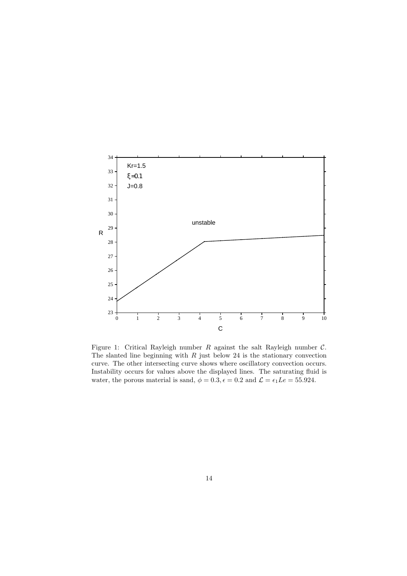

Figure 1: Critical Rayleigh number  $R$  against the salt Rayleigh number  $C$ . The slanted line beginning with  $R$  just below 24 is the stationary convection curve. The other intersecting curve shows where oscillatory convection occurs. Instability occurs for values above the displayed lines. The saturating fluid is water, the porous material is sand,  $\phi = 0.3$ ,  $\epsilon = 0.2$  and  $\mathcal{L} = \epsilon_1 L e = 55.924$ .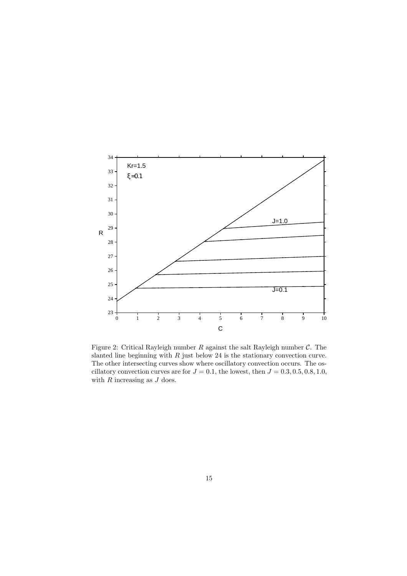

Figure 2: Critical Rayleigh number  $R$  against the salt Rayleigh number  $C$ . The slanted line beginning with  $R$  just below 24 is the stationary convection curve. The other intersecting curves show where oscillatory convection occurs. The oscillatory convection curves are for  $J = 0.1$ , the lowest, then  $J = 0.3, 0.5, 0.8, 1.0$ , with  $R$  increasing as  $J$  does.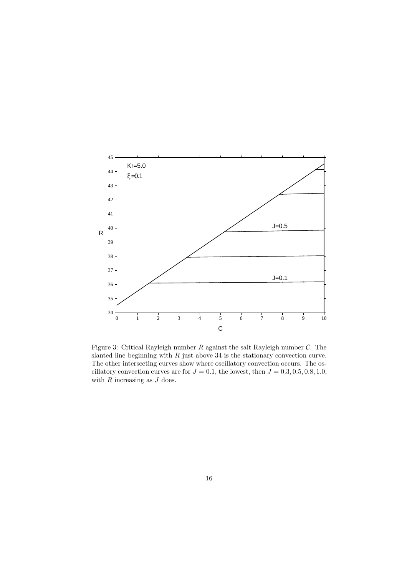

Figure 3: Critical Rayleigh number  $R$  against the salt Rayleigh number  $C$ . The slanted line beginning with  $R$  just above 34 is the stationary convection curve. The other intersecting curves show where oscillatory convection occurs. The oscillatory convection curves are for  $J = 0.1$ , the lowest, then  $J = 0.3, 0.5, 0.8, 1.0$ , with  $R$  increasing as  $J$  does.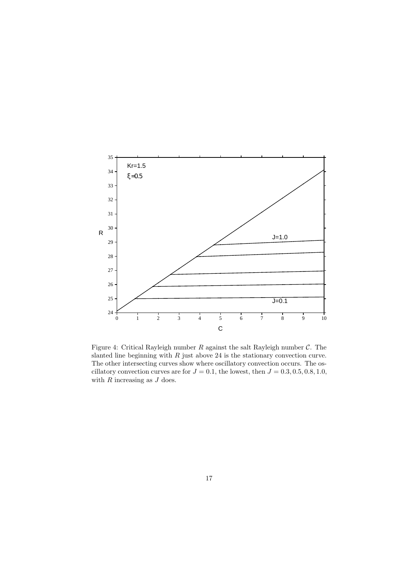

Figure 4: Critical Rayleigh number  $R$  against the salt Rayleigh number  $C$ . The slanted line beginning with  $R$  just above 24 is the stationary convection curve. The other intersecting curves show where oscillatory convection occurs. The oscillatory convection curves are for  $J = 0.1$ , the lowest, then  $J = 0.3, 0.5, 0.8, 1.0$ , with  $R$  increasing as  $J$  does.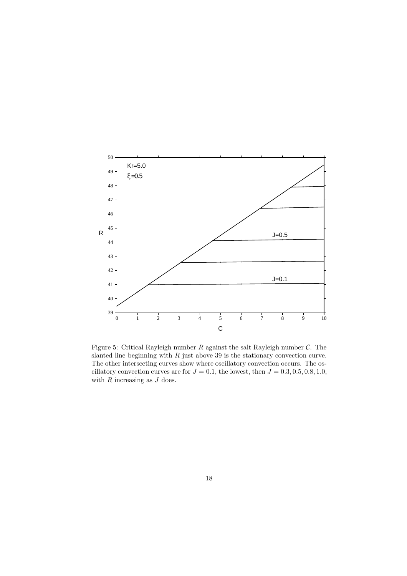

Figure 5: Critical Rayleigh number  $R$  against the salt Rayleigh number  $C$ . The slanted line beginning with  $R$  just above 39 is the stationary convection curve. The other intersecting curves show where oscillatory convection occurs. The oscillatory convection curves are for  $J = 0.1$ , the lowest, then  $J = 0.3, 0.5, 0.8, 1.0$ , with  $R$  increasing as  $J$  does.